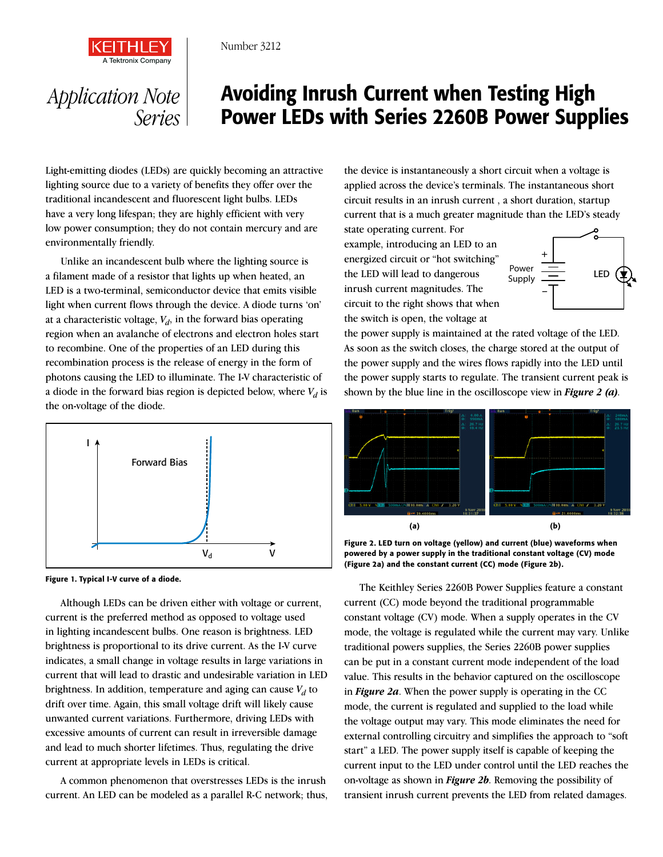

Number 3212

## *Application Note Series*

# Avoiding Inrush Current when Testing High Power LEDs with Series 2260B Power Supplies

Light-emitting diodes (LEDs) are quickly becoming an attractive lighting source due to a variety of benefits they offer over the traditional incandescent and fluorescent light bulbs. LEDs have a very long lifespan; they are highly efficient with very low power consumption; they do not contain mercury and are environmentally friendly.

Unlike an incandescent bulb where the lighting source is a filament made of a resistor that lights up when heated, an LED is a two-terminal, semiconductor device that emits visible light when current flows through the device. A diode turns 'on' at a characteristic voltage,  $V_d$ , in the forward bias operating region when an avalanche of electrons and electron holes start to recombine. One of the properties of an LED during this recombination process is the release of energy in the form of photons causing the LED to illuminate. The I-V characteristic of a diode in the forward bias region is depicted below, where  $V_d$  is the on-voltage of the diode.





Although LEDs can be driven either with voltage or current, current is the preferred method as opposed to voltage used in lighting incandescent bulbs. One reason is brightness. LED brightness is proportional to its drive current. As the I-V curve indicates, a small change in voltage results in large variations in current that will lead to drastic and undesirable variation in LED brightness. In addition, temperature and aging can cause  $V_d$  to drift over time. Again, this small voltage drift will likely cause unwanted current variations. Furthermore, driving LEDs with excessive amounts of current can result in irreversible damage and lead to much shorter lifetimes. Thus, regulating the drive current at appropriate levels in LEDs is critical.

A common phenomenon that overstresses LEDs is the inrush current. An LED can be modeled as a parallel R-C network; thus,

the device is instantaneously a short circuit when a voltage is applied across the device's terminals. The instantaneous short circuit results in an inrush current , a short duration, startup current that is a much greater magnitude than the LED's steady

state operating current. For example, introducing an LED to an energized circuit or "hot switching" the LED will lead to dangerous inrush current magnitudes. The circuit to the right shows that when the switch is open, the voltage at



the power supply is maintained at the rated voltage of the LED. As soon as the switch closes, the charge stored at the output of the power supply and the wires flows rapidly into the LED until the power supply starts to regulate. The transient current peak is shown by the blue line in the oscilloscope view in *Figure 2 (a)*.



Figure 2. LED turn on voltage (yellow) and current (blue) waveforms when powered by a power supply in the traditional constant voltage (CV) mode (Figure 2a) and the constant current (CC) mode (Figure 2b).

The Keithley Series 2260B Power Supplies feature a constant current (CC) mode beyond the traditional programmable constant voltage (CV) mode. When a supply operates in the CV mode, the voltage is regulated while the current may vary. Unlike traditional powers supplies, the Series 2260B power supplies can be put in a constant current mode independent of the load value. This results in the behavior captured on the oscilloscope in *Figure 2a*. When the power supply is operating in the CC mode, the current is regulated and supplied to the load while the voltage output may vary. This mode eliminates the need for external controlling circuitry and simplifies the approach to "soft start" a LED. The power supply itself is capable of keeping the current input to the LED under control until the LED reaches the on-voltage as shown in *Figure 2b*. Removing the possibility of transient inrush current prevents the LED from related damages.